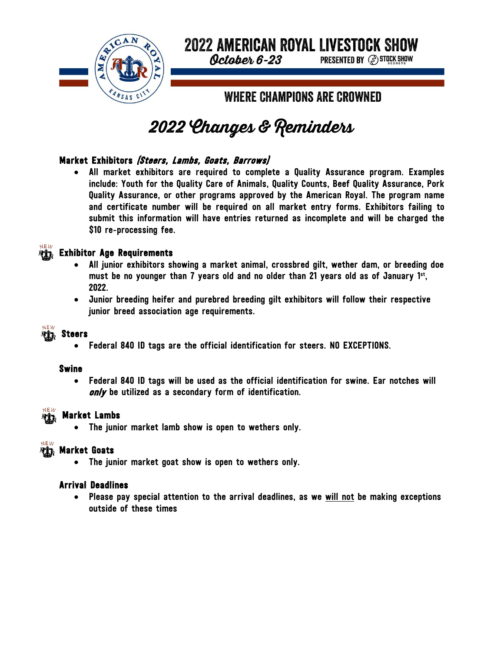

# **2022 AMERICAN ROYAL LIVESTOCK SHOW**

**PRESENTED BY (S) STOCK SHOW** 

October 6-23

**WHERE CHAMPIONS ARE CROWNED** 

# 2022 Changes & Reminders

## Market Exhibitors (Steers, Lambs, Goats, Barrows)

All market exhibitors are required to complete a Quality Assurance program. Examples include: Youth for the Quality Care of Animals, Quality Counts, Beef Quality Assurance, Pork Quality Assurance, or other programs approved by the American Royal. The program name and certificate number will be required on all market entry forms. Exhibitors failing to submit this information will have entries returned as incomplete and will be charged the \$10 re-processing fee.



### **REX Exhibitor Age Requirements**

- All junior exhibitors showing a market animal, crossbred gilt, wether dam, or breeding doe must be no younger than 7 years old and no older than 21 years old as of January 1st, 2022.
- Junior breeding heifer and purebred breeding gilt exhibitors will follow their respective junior breed association age requirements.



# Steers

• Federal 840 ID tags are the official identification for steers. NO EXCEPTIONS.

#### Swine

• Federal 840 ID tags will be used as the official identification for swine. Ear notches will only be utilized as a secondary form of identification.



#### Market Lambs

The junior market lamb show is open to wethers only.



#### Market Goats

• The junior market goat show is open to wethers only.

#### Arrival Deadlines

• Please pay special attention to the arrival deadlines, as we will not be making exceptions outside of these times